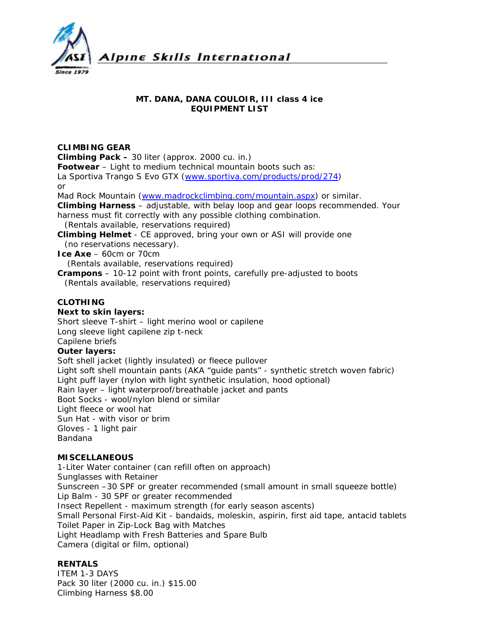

#### **MT. DANA, DANA COULOIR, III class 4 ice EQUIPMENT LIST**

# **CLIMBING GEAR**

**Climbing Pack –** 30 liter (approx. 2000 cu. in.)

**Footwear** – Light to medium technical mountain boots such as:

La Sportiva Trango S Evo GTX [\(www.sportiva.com/products/prod/274](http://www.sportiva.com/products/prod/274)) or

Mad Rock Mountain [\(www.madrockclimbing.com/mountain.aspx](http://www.madrockclimbing.com/mountain.aspx)) or similar.

**Climbing Harness** – adjustable, with belay loop and gear loops recommended. Your harness must fit correctly with any possible clothing combination.

*(Rentals available, reservations required)*

**Climbing Helmet** - CE approved, bring your own or ASI will provide one *(no reservations necessary).* 

**Ice Axe** – 60cm or 70cm

*(Rentals available, reservations required)* 

**Crampons** – 10-12 point with front points, carefully pre-adjusted to boots *(Rentals available, reservations required)* 

# **CLOTHING**

## **Next to skin layers:**

Short sleeve T-shirt – light merino wool or capilene

Long sleeve light capilene zip t-neck

# Capilene briefs

### **Outer layers:**

Soft shell jacket (lightly insulated) or fleece pullover Light soft shell mountain pants (AKA "guide pants" - synthetic stretch woven fabric) Light puff layer (nylon with light synthetic insulation, hood optional) Rain layer – light waterproof/breathable jacket and pants Boot Socks - wool/nylon blend or similar Light fleece or wool hat Sun Hat - with visor or brim Gloves - 1 light pair Bandana

# **MISCELLANEOUS**

1-Liter Water container (can refill often on approach) Sunglasses with Retainer Sunscreen –30 SPF or greater recommended (small amount in small squeeze bottle) Lip Balm - 30 SPF or greater recommended Insect Repellent - maximum strength (for early season ascents) Small Personal First-Aid Kit - bandaids, moleskin, aspirin, first aid tape, antacid tablets Toilet Paper in Zip-Lock Bag with Matches Light Headlamp with Fresh Batteries and Spare Bulb Camera (digital or film, optional)

#### **RENTALS**

ITEM 1-3 DAYS Pack 30 liter (2000 cu. in.) \$15.00 Climbing Harness \$8.00